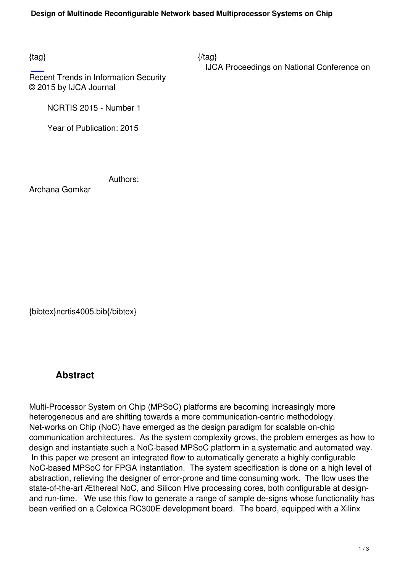$\{tag\}$ 

IJCA Proceedings on National Conference on

Recent Trends in Information Security © 2015 by IJCA Journal

NCRTIS 2015 - Number 1

Year of Publication: 2015

Authors:

Archana Gomkar

{bibtex}ncrtis4005.bib{/bibtex}

## **Abstract**

Multi-Processor System on Chip (MPSoC) platforms are becoming increasingly more heterogeneous and are shifting towards a more communication-centric methodology. Net-works on Chip (NoC) have emerged as the design paradigm for scalable on-chip communication architectures. As the system complexity grows, the problem emerges as how to design and instantiate such a NoC-based MPSoC platform in a systematic and automated way. In this paper we present an integrated flow to automatically generate a highly configurable NoC-based MPSoC for FPGA instantiation. The system specification is done on a high level of abstraction, relieving the designer of error-prone and time consuming work. The flow uses the state-of-the-art Æthereal NoC, and Silicon Hive processing cores, both configurable at designand run-time. We use this flow to generate a range of sample de-signs whose functionality has been verified on a Celoxica RC300E development board. The board, equipped with a Xilinx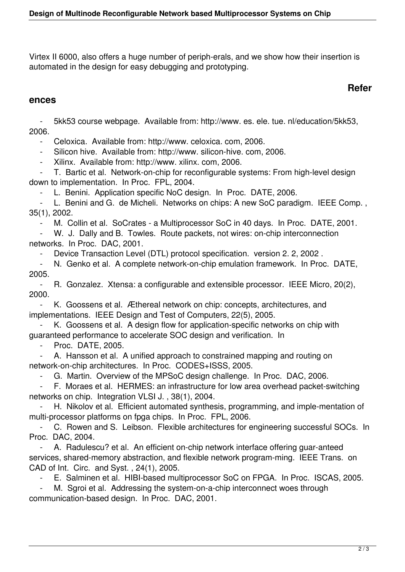Virtex II 6000, also offers a huge number of periph-erals, and we show how their insertion is automated in the design for easy debugging and prototyping.

## **Refer**

## **ences**

 - 5kk53 course webpage. Available from: http://www. es. ele. tue. nl/education/5kk53, 2006.

- Celoxica. Available from: http://www. celoxica. com, 2006.

- Silicon hive. Available from: http://www. silicon-hive. com, 2006.

- Xilinx. Available from: http://www. xilinx. com, 2006.

 - T. Bartic et al. Network-on-chip for reconfigurable systems: From high-level design down to implementation. In Proc. FPL, 2004.

L. Benini. Application specific NoC design. In Proc. DATE, 2006.

 - L. Benini and G. de Micheli. Networks on chips: A new SoC paradigm. IEEE Comp. , 35(1), 2002.

M. Collin et al. SoCrates - a Multiprocessor SoC in 40 days. In Proc. DATE, 2001.

 - W. J. Dally and B. Towles. Route packets, not wires: on-chip interconnection networks. In Proc. DAC, 2001.

- Device Transaction Level (DTL) protocol specification. version 2. 2, 2002 .

 - N. Genko et al. A complete network-on-chip emulation framework. In Proc. DATE, 2005.

 - R. Gonzalez. Xtensa: a configurable and extensible processor. IEEE Micro, 20(2), 2000.

K. Goossens et al. Æthereal network on chip: concepts, architectures, and implementations. IEEE Design and Test of Computers, 22(5), 2005.

K. Goossens et al. A design flow for application-specific networks on chip with guaranteed performance to accelerate SOC design and verification. In

Proc. DATE, 2005.

 - A. Hansson et al. A unified approach to constrained mapping and routing on network-on-chip architectures. In Proc. CODES+ISSS, 2005.

G. Martin. Overview of the MPSoC design challenge. In Proc. DAC, 2006.

 - F. Moraes et al. HERMES: an infrastructure for low area overhead packet-switching networks on chip. Integration VLSI J. , 38(1), 2004.

H. Nikolov et al. Efficient automated synthesis, programming, and imple-mentation of multi-processor platforms on fpga chips. In Proc. FPL, 2006.

 - C. Rowen and S. Leibson. Flexible architectures for engineering successful SOCs. In Proc. DAC, 2004.

A. Radulescu? et al. An efficient on-chip network interface offering guar-anteed services, shared-memory abstraction, and flexible network program-ming. IEEE Trans. on CAD of Int. Circ. and Syst. , 24(1), 2005.

E. Salminen et al. HIBI-based multiprocessor SoC on FPGA. In Proc. ISCAS, 2005.

M. Sgroi et al. Addressing the system-on-a-chip interconnect woes through communication-based design. In Proc. DAC, 2001.